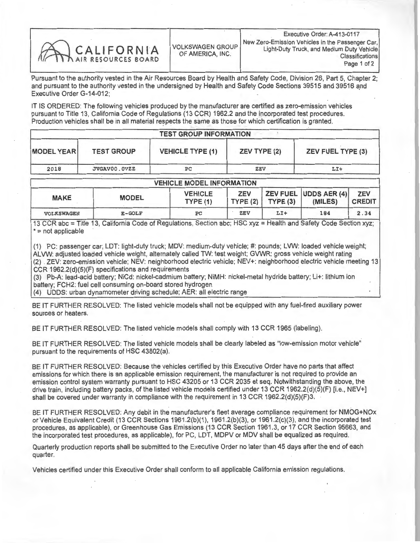

Pursuant to the authority vested in the Air Resources Board by Health and Safety Code, Division 26, Part 5, Chapter 2; and pursuant to the authority vested in the undersigned by Health and Safety Code Sections 39515 and 39516 and Executive Order G-14-012;

IT IS ORDERED: The following vehicles produced by the manufacturer are certified as zero-emission vehicles pursuant to Title 13, California Code of Regulations (13 CCR) 1962.2 and the incorporated test procedures. Production vehicles shall be in all material respects the same as those for which certification is granted.

| <b>TEST GROUP INFORMATION</b> |                                   |                               |              |                            |  |  |  |  |
|-------------------------------|-----------------------------------|-------------------------------|--------------|----------------------------|--|--|--|--|
| <b>MODEL YEAR</b>             | <b>TEST GROUP</b><br>JVGAV00.0VZZ | <b>VEHICLE TYPE (1)</b><br>PC | ZEV TYPE (2) | ZEV FUEL TYPE (3)<br>$LI+$ |  |  |  |  |
| 2018                          |                                   |                               | ZEV          |                            |  |  |  |  |

| <b>VEHICLE MODEL INFORMATION</b> |              |                            |            |                       |                                         |                             |  |  |  |
|----------------------------------|--------------|----------------------------|------------|-----------------------|-----------------------------------------|-----------------------------|--|--|--|
| <b>MAKE</b>                      | <b>MODEL</b> | <b>VEHICLE</b><br>TYPE (1) | <b>ZEV</b> | TYPE $(2)$ TYPE $(3)$ | <b>ZEV FUEL UDDS AER (4)</b><br>(MILES) | <b>ZEV</b><br><b>CREDIT</b> |  |  |  |
| <b>VOLKSWAGEN</b>                | $E-GOLF$     | PC                         | ZEV        | LI+                   | 184                                     | 2.34                        |  |  |  |

13 CCR abc = Title 13, California Code of Regulations, Section abc; HSC xyz = Health and Safety Code Section xyz; \* = not applicable

(1) PC: passenger car; LDT: light-duty truck; MDV: medium-duty vehicle; #: pounds; LVW: loaded vehicle weight; ALVW: adjusted loaded vehicle weight, alternately called TW: test weight; GVWR: gross vehicle weight rating (2) . ZEV: zero-emission vehicle; NEV: neighborhood electric vehicle; NEV+: neighborhood electric vehicle meeting 13 CCR 1962.2(d)(5)(F) specifications and requirements

(3) Pb-A: lead-acid battery; NiCd: nickel-cadmium battery; NiMH: nickel-metal hydride battery; Li+: lithium ion battery; FCH2: fuel cell consuming on-board stored hydrogen

(4) UDDS: urban dynamometer driving schedule; AER: all electric range

BE IT FURTHER RESOLVED: The listed vehicle models shall not be equipped with any fuel-fired auxiliary power sources or heaters.

BE IT FURTHER RESOLVED: The listed vehicle models shall comply with 13 CCR 1965 (labeling).

BE IT FURTHER RESOLVED: The listed vehicle models shall be clearly labeled as "low-emission motor vehicle" pursuant to the requirements of HSC 43802(a).

BE IT FURTHER RESOLVED: Because the vehicles certified by this Executive Order have no parts that affect<br>emissions for which there is an applicable emission requirement, the manufacturer is not required to provide an emissions for which there is an applicable emission requirement, the manufacturer is not require the objects of emission control system warranty pursuant to HSC 43205 or 13 CCR 43205 or 13 CCR 1063 2/4/5/C 1. 2 NEV drive train, including battery packs, of the listed vehicle models certified under 13 CCR 1962.2(d)(5)(F) [i.e., NEV+] shall be covered under warranty in compliance with the requirement in 13 CCR 1962.2(d)(5)(F)3.

BE IT FURTHER RESOLVED: Any debit in the manufacturer's fleet average compliance requirement for NMOG+NOx or Vehicle Equivalent Credit (13 CCR Sections 1961.2(b)(1), 1961.2(b)(3), or 1961.2(c)(3), and the incorporated test procedures, as applicable), or Greenhouse Gas Emissions (13 CCR Section 1961.3, or 17 CCR Section 95663, and procedures, as applicable), or Greenhouse Gas Emissions (13 CCR Section 1961.3, or 17 CCR Section 95663, and the incorporated test procedures, as applicable), for PC, LDT, MDPV or MDV shall be equalized as required.

Quarterly production reports shall be submitted to the Executive Order no later than 45 days after the end of each quarter.

Vehicles certified under this Executive Order shall conform to all applicable California emission regulations.